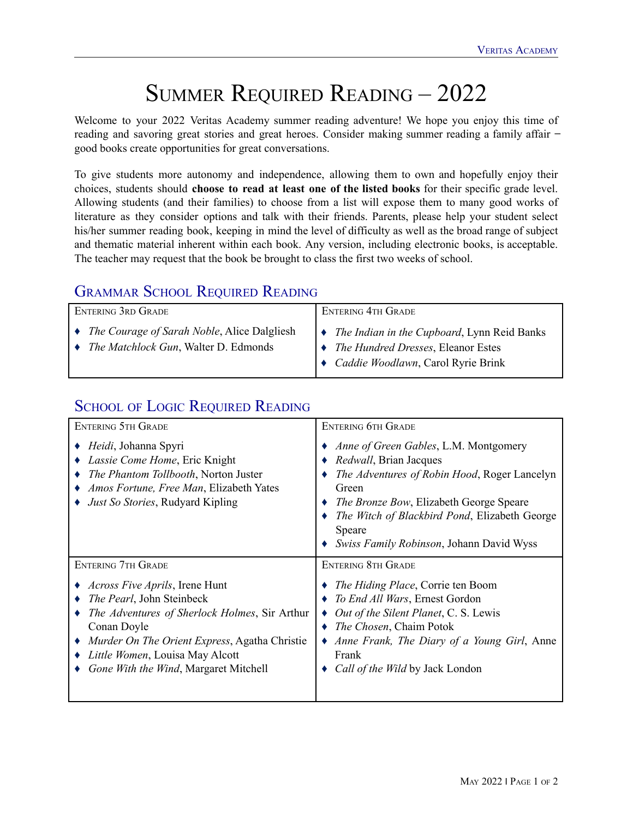## SUMMER REQUIRED READING – 2022

Welcome to your 2022 Veritas Academy summer reading adventure! We hope you enjoy this time of reading and savoring great stories and great heroes. Consider making summer reading a family affair – good books create opportunities for great conversations.

To give students more autonomy and independence, allowing them to own and hopefully enjoy their choices, students should **choose to read at least one of the listed books** for their specific grade level. Allowing students (and their families) to choose from a list will expose them to many good works of literature as they consider options and talk with their friends. Parents, please help your student select his/her summer reading book, keeping in mind the level of difficulty as well as the broad range of subject and thematic material inherent within each book. Any version, including electronic books, is acceptable. The teacher may request that the book be brought to class the first two weeks of school.

## GRAMMAR SCHOOL REQUIRED READING

| ENTERING 3RD GRADE                                                                              | <b>ENTERING 4TH GRADE</b>                                                                                                                         |
|-------------------------------------------------------------------------------------------------|---------------------------------------------------------------------------------------------------------------------------------------------------|
| • The Courage of Sarah Noble, Alice Dalgliesh<br>• <i>The Matchlock Gun</i> , Walter D. Edmonds | $\bullet$ The Indian in the Cupboard, Lynn Reid Banks<br>$\rightarrow$ The Hundred Dresses, Eleanor Estes<br>↓ Caddie Woodlawn, Carol Ryrie Brink |

## SCHOOL OF LOGIC REQUIRED READING

| <b>ENTERING 5TH GRADE</b>                                                                                                                                                                                                                                        | <b>ENTERING 6TH GRADE</b>                                                                                                                                                                                                                                                                         |
|------------------------------------------------------------------------------------------------------------------------------------------------------------------------------------------------------------------------------------------------------------------|---------------------------------------------------------------------------------------------------------------------------------------------------------------------------------------------------------------------------------------------------------------------------------------------------|
| <i>Heidi</i> , Johanna Spyri<br>Lassie Come Home, Eric Knight<br>The Phantom Tollbooth, Norton Juster<br>Amos Fortune, Free Man, Elizabeth Yates<br><i>Just So Stories</i> , Rudyard Kipling                                                                     | Anne of Green Gables, L.M. Montgomery<br><i>Redwall</i> , Brian Jacques<br><i>The Adventures of Robin Hood, Roger Lancelyn</i><br>Green<br><i>The Bronze Bow</i> , Elizabeth George Speare<br>The Witch of Blackbird Pond, Elizabeth George<br>Speare<br>Swiss Family Robinson, Johann David Wyss |
| <b>ENTERING 7TH GRADE</b>                                                                                                                                                                                                                                        | <b>ENTERING 8TH GRADE</b>                                                                                                                                                                                                                                                                         |
| <i>Across Five Aprils</i> , Irene Hunt<br>The Pearl, John Steinbeck<br>The Adventures of Sherlock Holmes, Sir Arthur<br>Conan Doyle<br>Murder On The Orient Express, Agatha Christie<br>Little Women, Louisa May Alcott<br>Gone With the Wind, Margaret Mitchell | The Hiding Place, Corrie ten Boom<br>To End All Wars, Ernest Gordon<br>Out of the Silent Planet, C. S. Lewis<br>$\rightarrow$ <i>The Chosen</i> , Chaim Potok<br>• Anne Frank, The Diary of a Young Girl, Anne<br>Frank<br>Call of the Wild by Jack London                                        |